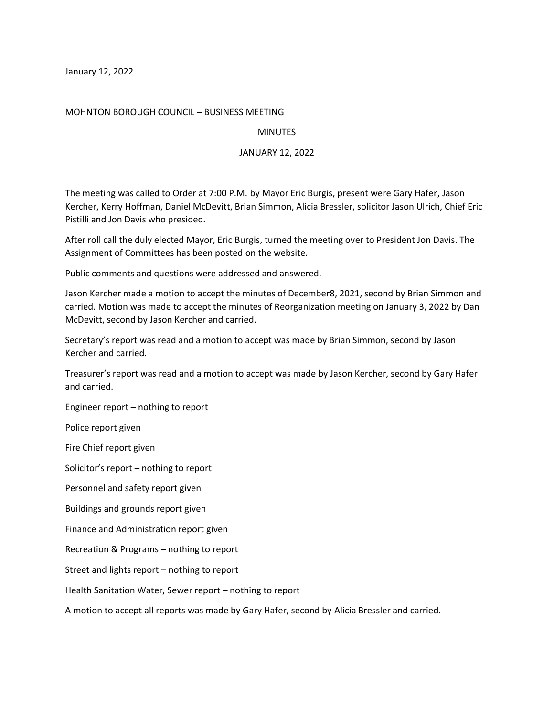January 12, 2022

## MOHNTON BOROUGH COUNCIL – BUSINESS MEETING

## **MINUTES**

## JANUARY 12, 2022

The meeting was called to Order at 7:00 P.M. by Mayor Eric Burgis, present were Gary Hafer, Jason Kercher, Kerry Hoffman, Daniel McDevitt, Brian Simmon, Alicia Bressler, solicitor Jason Ulrich, Chief Eric Pistilli and Jon Davis who presided.

After roll call the duly elected Mayor, Eric Burgis, turned the meeting over to President Jon Davis. The Assignment of Committees has been posted on the website.

Public comments and questions were addressed and answered.

Jason Kercher made a motion to accept the minutes of December8, 2021, second by Brian Simmon and carried. Motion was made to accept the minutes of Reorganization meeting on January 3, 2022 by Dan McDevitt, second by Jason Kercher and carried.

Secretary's report was read and a motion to accept was made by Brian Simmon, second by Jason Kercher and carried.

Treasurer's report was read and a motion to accept was made by Jason Kercher, second by Gary Hafer and carried.

Engineer report – nothing to report

Police report given

Fire Chief report given

Solicitor's report – nothing to report

Personnel and safety report given

Buildings and grounds report given

Finance and Administration report given

Recreation & Programs – nothing to report

Street and lights report – nothing to report

Health Sanitation Water, Sewer report – nothing to report

A motion to accept all reports was made by Gary Hafer, second by Alicia Bressler and carried.